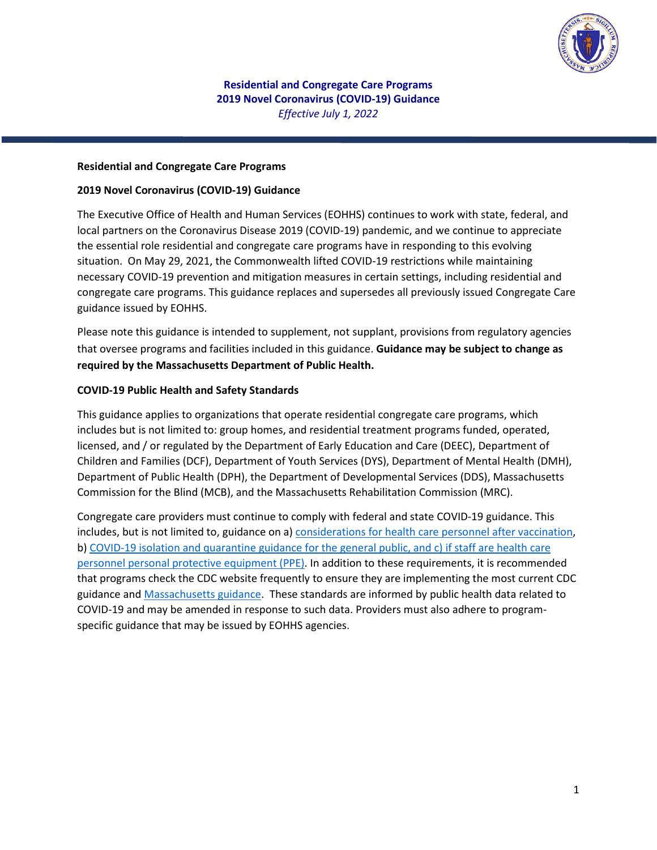

**Residential and Congregate Care Programs 2019 Novel Coronavirus (COVID-19) Guidance** *Effective July 1, 2022*

#### **Residential and Congregate Care Programs**

#### **2019 Novel Coronavirus (COVID-19) Guidance**

The Executive Office of Health and Human Services (EOHHS) continues to work with state, federal, and local partners on the Coronavirus Disease 2019 (COVID-19) pandemic, and we continue to appreciate the essential role residential and congregate care programs have in responding to this evolving situation. On May 29, 2021, the Commonwealth lifted COVID-19 restrictions while maintaining necessary COVID-19 prevention and mitigation measures in certain settings, including residential and congregate care programs. This guidance replaces and supersedes all previously issued Congregate Care guidance issued by EOHHS.

Please note this guidance is intended to supplement, not supplant, provisions from regulatory agencies that oversee programs and facilities included in this guidance. **Guidance may be subject to change as required by the Massachusetts Department of Public Health.**

#### **COVID-19 Public Health and Safety Standards**

This guidance applies to organizations that operate residential congregate care programs, which includes but is not limited to: group homes, and residential treatment programs funded, operated, licensed, and / or regulated by the Department of Early Education and Care (DEEC), Department of Children and Families (DCF), Department of Youth Services (DYS), Department of Mental Health (DMH), Department of Public Health (DPH), the Department of Developmental Services (DDS), Massachusetts Commission for the Blind (MCB), and the Massachusetts Rehabilitation Commission (MRC).

Congregate care providers must continue to comply with federal and state COVID-19 guidance. This includes, but is not limited to, guidance on a) [considerations for health care personnel after vaccination,](https://www.mass.gov/doc/considerations-for-health-care-personnel-after-covid-19-vaccination/download) b[\) COVID-19 isolation and quarantine guidance](https://www.mass.gov/info-details/what-to-do-if-you-have-covid-19-or-have-been-exposed-to-covid-19#about-covid-19-isolation-and-quarantine-) for the general public, and c) i[f staff are health care](https://www.mass.gov/info-details/ppe-testing-and-vaccine-supply-resources-during-covid-19)  [personnel personal protective equipment \(PPE\).](https://www.mass.gov/info-details/ppe-testing-and-vaccine-supply-resources-during-covid-19) In addition to these requirements, it is recommended that programs check the CDC website frequently to ensure they are implementing the most current CDC guidance and [Massachusetts guidance.](https://www.mass.gov/info-details/covid-19-public-health-guidance-and-directives) These standards are informed by public health data related to COVID-19 and may be amended in response to such data. Providers must also adhere to programspecific guidance that may be issued by EOHHS agencies.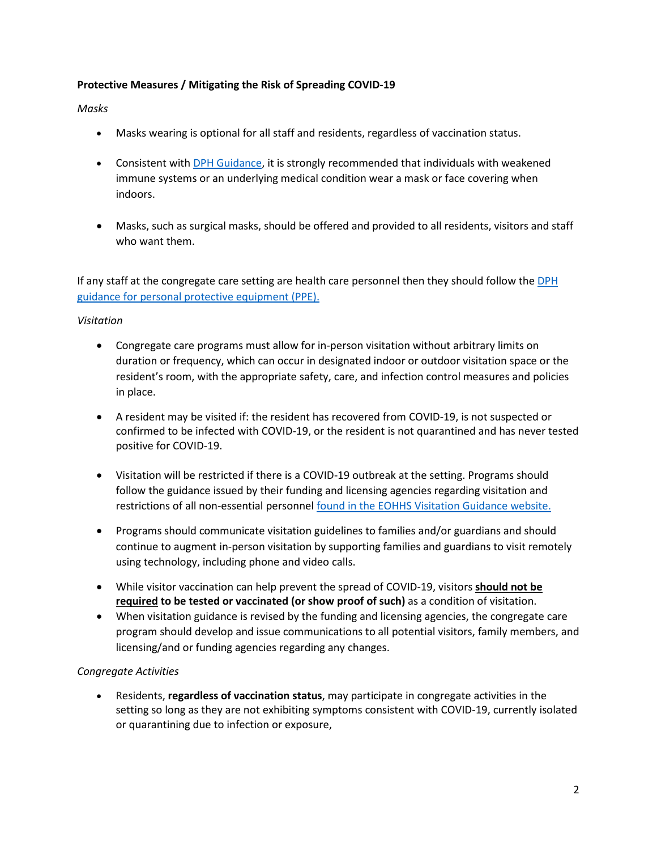## **Protective Measures / Mitigating the Risk of Spreading COVID-19**

### *Masks*

- Masks wearing is optional for all staff and residents, regardless of vaccination status.
- Consistent with **DPH Guidance**, it is strongly recommended that individuals with weakened immune systems or an underlying medical condition wear a mask or face covering when indoors.
- Masks, such as surgical masks, should be offered and provided to all residents, visitors and staff who want them.

If any staff at the congregate care setting are health care personnel then they should follow the DPH [guidance for personal protective equipment \(PPE\).](https://www.mass.gov/info-details/ppe-testing-and-vaccine-supply-resources-during-covid-19#:%7E:text=vaccine%20supplemental%20supplies-,Personal%20Protective%20Equipment%20(PPE)%20during%20COVID%2D19,%2C%20gloves%2C%20and%20eye%20protection.)

## *Visitation*

- Congregate care programs must allow for in-person visitation without arbitrary limits on duration or frequency, which can occur in designated indoor or outdoor visitation space or the resident's room, with the appropriate safety, care, and infection control measures and policies in place.
- A resident may be visited if: the resident has recovered from COVID-19, is not suspected or confirmed to be infected with COVID-19, or the resident is not quarantined and has never tested positive for COVID-19.
- Visitation will be restricted if there is a COVID-19 outbreak at the setting. Programs should follow the guidance issued by their funding and licensing agencies regarding visitation and restrictions of all non-essential personnel [found in the EOHHS Visitation Guidance website.](https://www.mass.gov/info-details/executive-office-of-health-and-human-services-visitation-guidance-during-covid-19)
- Programs should communicate visitation guidelines to families and/or guardians and should continue to augment in-person visitation by supporting families and guardians to visit remotely using technology, including phone and video calls.
- While visitor vaccination can help prevent the spread of COVID-19, visitors **should not be required to be tested or vaccinated (or show proof of such)** as a condition of visitation.
- When visitation guidance is revised by the funding and licensing agencies, the congregate care program should develop and issue communications to all potential visitors, family members, and licensing/and or funding agencies regarding any changes.

#### *Congregate Activities*

• Residents, **regardless of vaccination status**, may participate in congregate activities in the setting so long as they are not exhibiting symptoms consistent with COVID-19, currently isolated or quarantining due to infection or exposure,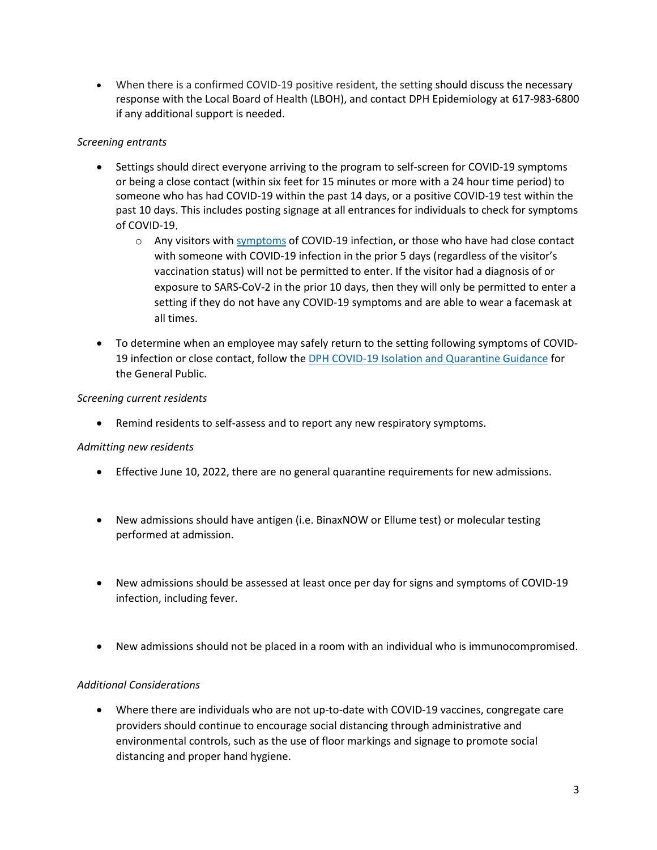• When there is a confirmed COVID-19 positive resident, the setting should discuss the necessary response with the Local Board of Health (LBOH), and contact DPH Epidemiology at 617-983-6800 if any additional support is needed.

# *Screening entrants*

- Settings should direct everyone arriving to the program to self-screen for COVID-19 symptoms or being a close contact (within six feet for 15 minutes or more with a 24 hour time period) to someone who has had COVID-19 within the past 14 days, or a positive COVID-19 test within the past 10 days. This includes posting signage at all entrances for individuals to check for symptoms of COVID-19.
	- o Any visitors wit[h symptoms](https://www.cdc.gov/coronavirus/2019-ncov/symptoms-testing/symptoms.html) of COVID-19 infection, or those who have had close contact with someone with COVID-19 infection in the prior 5 days (regardless of the visitor's vaccination status) will not be permitted to enter. If the visitor had a diagnosis of or exposure to SARS-CoV-2 in the prior 10 days, then they will only be permitted to enter a setting if they do not have any COVID-19 symptoms and are able to wear a facemask at all times.
- To determine when an employee may safely return to the setting following symptoms of COVID-19 infection or close contact, follow th[e DPH COVID-19 Isolation and Quarantine Guidance](https://www.mass.gov/info-details/what-to-do-if-you-have-covid-19-or-have-been-exposed-to-covid-19) for the General Public.

## *Screening current residents*

• Remind residents to self-assess and to report any new respiratory symptoms.

#### *Admitting new residents*

- Effective June 10, 2022, there are no general quarantine requirements for new admissions.
- New admissions should have antigen (i.e. BinaxNOW or Ellume test) or molecular testing performed at admission.
- New admissions should be assessed at least once per day for signs and symptoms of COVID-19 infection, including fever.
- New admissions should not be placed in a room with an individual who is immunocompromised.

#### *Additional Considerations*

• Where there are individuals who are not up-to-date with COVID-19 vaccines, congregate care providers should continue to encourage social distancing through administrative and environmental controls, such as the use of floor markings and signage to promote social distancing and proper hand hygiene.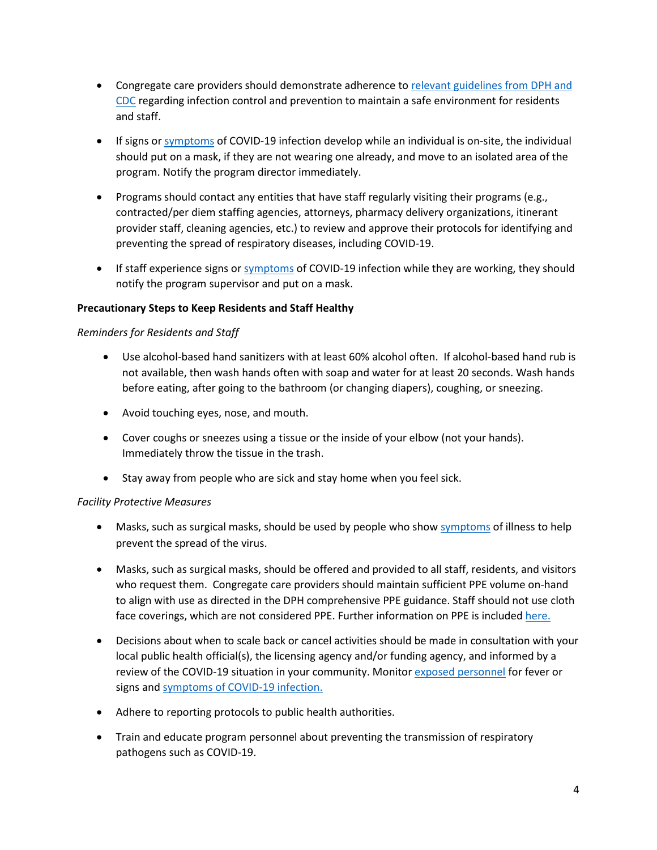- Congregate care providers should demonstrate adherence to [relevant guidelines from DPH and](https://www.mass.gov/info-details/covid-19-prevention-and-treatment)  [CDC](https://www.mass.gov/info-details/covid-19-prevention-and-treatment) regarding infection control and prevention to maintain a safe environment for residents and staff.
- If signs or [symptoms](https://www.cdc.gov/coronavirus/2019-ncov/symptoms-testing/symptoms.html) of COVID-19 infection develop while an individual is on-site, the individual should put on a mask, if they are not wearing one already, and move to an isolated area of the program. Notify the program director immediately.
- Programs should contact any entities that have staff regularly visiting their programs (e.g., contracted/per diem staffing agencies, attorneys, pharmacy delivery organizations, itinerant provider staff, cleaning agencies, etc.) to review and approve their protocols for identifying and preventing the spread of respiratory diseases, including COVID-19.
- If staff experience signs o[r symptoms](https://www.cdc.gov/coronavirus/2019-ncov/symptoms-testing/symptoms.html) of COVID-19 infection while they are working, they should notify the program supervisor and put on a mask.

## **Precautionary Steps to Keep Residents and Staff Healthy**

#### *Reminders for Residents and Staff*

- Use alcohol-based hand sanitizers with at least 60% alcohol often. If alcohol-based hand rub is not available, then wash hands often with soap and water for at least 20 seconds. Wash hands before eating, after going to the bathroom (or changing diapers), coughing, or sneezing.
- Avoid touching eyes, nose, and mouth.
- Cover coughs or sneezes using a tissue or the inside of your elbow (not your hands). Immediately throw the tissue in the trash.
- Stay away from people who are sick and stay home when you feel sick.

#### *Facility Protective Measures*

- Masks, such as surgical masks, should be used by people who sho[w symptoms](https://www.cdc.gov/coronavirus/2019-ncov/symptoms-testing/symptoms.html) of illness to help prevent the spread of the virus.
- Masks, such as surgical masks, should be offered and provided to all staff, residents, and visitors who request them. Congregate care providers should maintain sufficient PPE volume on-hand to align with use as directed in the DPH comprehensive PPE guidance. Staff should not use cloth face coverings, which are not considered PPE. Further information on PPE is include[d here.](#page-7-0)
- Decisions about when to scale back or cancel activities should be made in consultation with your local public health official(s), the licensing agency and/or funding agency, and informed by a review of the COVID-19 situation in your community. Monito[r exposed personnel](#page-5-0) for fever or signs and [symptoms of COVID-19 infection.](https://www.mass.gov/info-details/covid-19-prevention-and-treatment)
- Adhere to reporting protocols to public health authorities.
- Train and educate program personnel about preventing the transmission of respiratory pathogens such as COVID-19.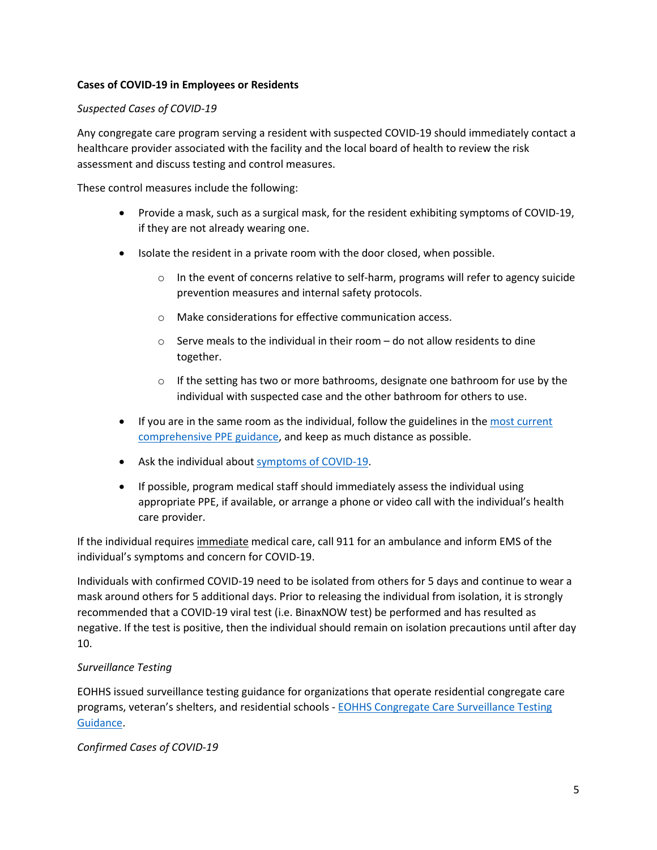## **Cases of COVID-19 in Employees or Residents**

### *Suspected Cases of COVID-19*

Any congregate care program serving a resident with suspected COVID-19 should immediately contact a healthcare provider associated with the facility and the local board of health to review the risk assessment and discuss testing and control measures.

These control measures include the following:

- Provide a mask, such as a surgical mask, for the resident exhibiting symptoms of COVID-19, if they are not already wearing one.
- Isolate the resident in a private room with the door closed, when possible.
	- $\circ$  In the event of concerns relative to self-harm, programs will refer to agency suicide prevention measures and internal safety protocols.
	- o Make considerations for effective communication access.
	- $\circ$  Serve meals to the individual in their room do not allow residents to dine together.
	- $\circ$  If the setting has two or more bathrooms, designate one bathroom for use by the individual with suspected case and the other bathroom for others to use.
- If you are in the same room as the individual, follow the guidelines in the most current [comprehensive PPE guidance,](https://www.mass.gov/info-details/ppe-testing-and-vaccine-supply-resources-during-covid-19) and keep as much distance as possible.
- Ask the individual about [symptoms of COVID-19.](https://www.mass.gov/info-details/about-covid-19)
- If possible, program medical staff should immediately assess the individual using appropriate PPE, if available, or arrange a phone or video call with the individual's health care provider.

If the individual requires immediate medical care, call 911 for an ambulance and inform EMS of the individual's symptoms and concern for COVID-19.

Individuals with confirmed COVID-19 need to be isolated from others for 5 days and continue to wear a mask around others for 5 additional days. Prior to releasing the individual from isolation, it is strongly recommended that a COVID-19 viral test (i.e. BinaxNOW test) be performed and has resulted as negative. If the test is positive, then the individual should remain on isolation precautions until after day 10.

# *Surveillance Testing*

EOHHS issued surveillance testing guidance for organizations that operate residential congregate care programs, veteran's shelters, and residential schools - [EOHHS Congregate Care Surveillance Testing](https://www.mass.gov/media/2325146/download)  [Guidance.](https://www.mass.gov/media/2325146/download)

<span id="page-4-0"></span>*Confirmed Cases of COVID-19*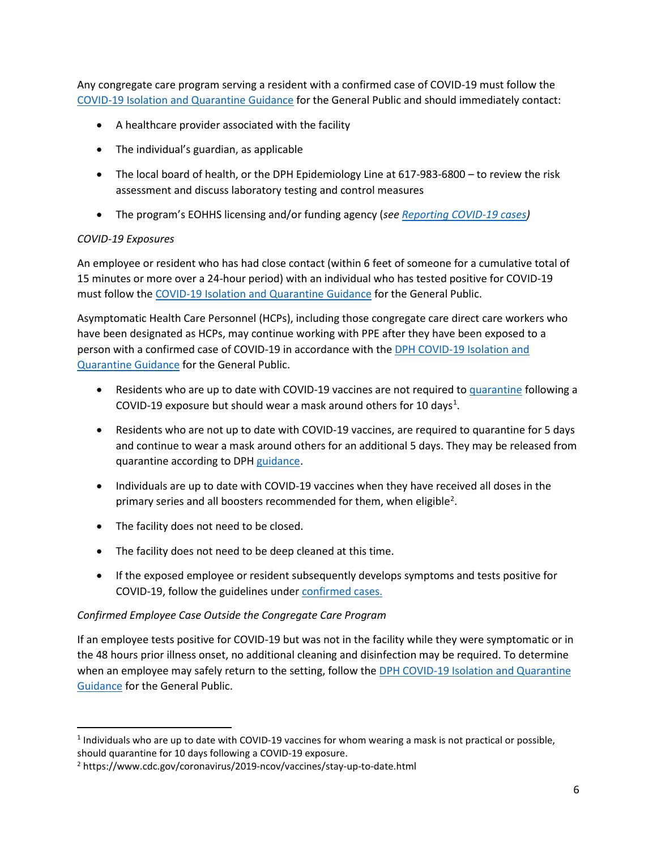Any congregate care program serving a resident with a confirmed case of COVID-19 must follow the [COVID-19 Isolation and Quarantine Guidance](https://www.mass.gov/info-details/what-to-do-if-you-have-covid-19-or-have-been-exposed-to-covid-19) for the General Public and should immediately contact:

- A healthcare provider associated with the facility
- The individual's guardian, as applicable
- The local board of health, or the DPH Epidemiology Line at 617-983-6800 to review the risk assessment and discuss laboratory testing and control measures
- The program's EOHHS licensing and/or funding agency (*se[e Reporting COVID-19 cases\)](#page-5-1)*

# <span id="page-5-0"></span>*COVID-19 Exposures*

An employee or resident who has had close contact (within 6 feet of someone for a cumulative total of 15 minutes or more over a 24-hour period) with an individual who has tested positive for COVID-19 must follow the [COVID-19 Isolation and Quarantine Guidance](https://www.mass.gov/info-details/what-to-do-if-you-have-covid-19-or-have-been-exposed-to-covid-19) for the General Public.

Asymptomatic Health Care Personnel (HCPs), including those congregate care direct care workers who have been designated as HCPs, may continue working with PPE after they have been exposed to a person with a confirmed case of COVID-19 in accordance with the [DPH COVID-19 Isolation and](https://www.mass.gov/info-details/covid-19-isolation-and-quarantine-guidance-for-the-general-public)  [Quarantine Guidance](https://www.mass.gov/info-details/covid-19-isolation-and-quarantine-guidance-for-the-general-public) for the General Public.

- Residents who are up to date with COVID-19 vaccines are not required to [quarantine](https://www.mass.gov/info-details/what-to-do-if-you-have-covid-19-or-have-been-exposed-to-covid-19#if-you-test-positive-for-covid-19-(isolate)-) following a COVID-19 exposure but should wear a mask around others for 10 days<sup>1</sup>.
- Residents who are not up to date with COVID-19 vaccines, are required to quarantine for 5 days and continue to wear a mask around others for an additional 5 days. They may be released from quarantine according to DPH [guidance.](https://www.mass.gov/info-details/what-to-do-if-you-have-covid-19-or-have-been-exposed-to-covid-19#if-you-test-positive-for-covid-19-(isolate)-)
- Individuals are up to date with COVID-19 vaccines when they have received all doses in the primary series and all boosters recommended for them, when eligible<sup>[2](#page-5-3)</sup>.
- The facility does not need to be closed.
- The facility does not need to be deep cleaned at this time.
- If the exposed employee or resident subsequently develops symptoms and tests positive for COVID-19, follow the guidelines unde[r confirmed cases.](#page-4-0)

# *Confirmed Employee Case Outside the Congregate Care Program*

<span id="page-5-1"></span>If an employee tests positive for COVID-19 but was not in the facility while they were symptomatic or in the 48 hours prior illness onset, no additional cleaning and disinfection may be required. To determine when an employee may safely return to the setting, follow the DPH COVID-19 Isolation and Quarantine [Guidance](https://www.mass.gov/info-details/what-to-do-if-you-have-covid-19-or-have-been-exposed-to-covid-19) for the General Public.

<span id="page-5-2"></span> $1$  Individuals who are up to date with COVID-19 vaccines for whom wearing a mask is not practical or possible,

<span id="page-5-3"></span>should quarantine for 10 days following a COVID-19 exposure.<br><sup>2</sup> https://www.cdc.gov/coronavirus/2019-ncov/vaccines/stay-up-to-date.html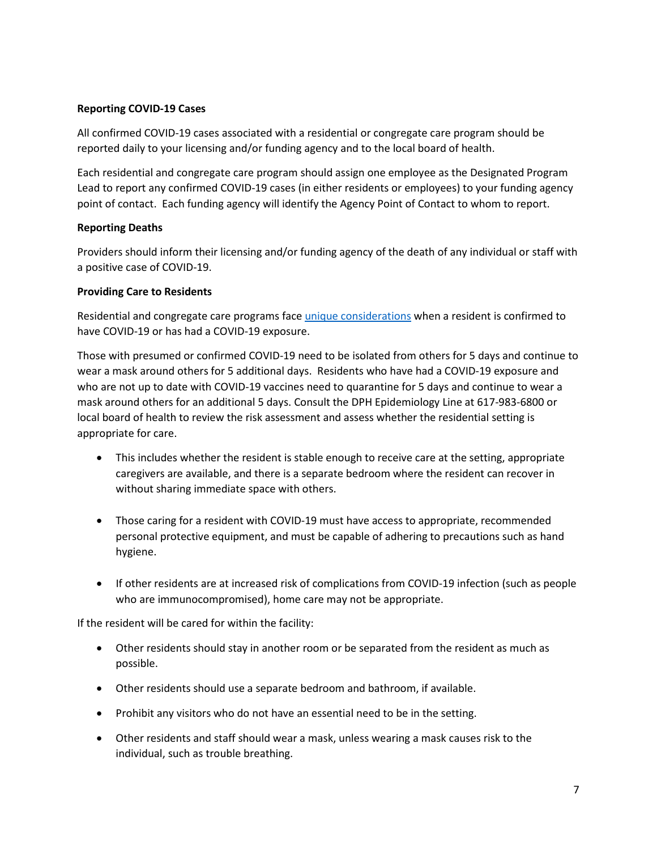### **Reporting COVID-19 Cases**

All confirmed COVID-19 cases associated with a residential or congregate care program should be reported daily to your licensing and/or funding agency and to the local board of health.

Each residential and congregate care program should assign one employee as the Designated Program Lead to report any confirmed COVID-19 cases (in either residents or employees) to your funding agency point of contact. Each funding agency will identify the Agency Point of Contact to whom to report.

## **Reporting Deaths**

Providers should inform their licensing and/or funding agency of the death of any individual or staff with a positive case of COVID-19.

## **Providing Care to Residents**

Residential and congregate care programs face unique considerations when a resident is confirmed to have COVID-19 or has had a COVID-19 exposure.

Those with presumed or confirmed COVID-19 need to be isolated from others for 5 days and continue to wear a mask around others for 5 additional days. Residents who have had a COVID-19 exposure and who are not up to date with COVID-19 vaccines need to quarantine for 5 days and continue to wear a mask around others for an additional 5 days. Consult the DPH Epidemiology Line at 617-983-6800 or local board of health to review the risk assessment and assess whether the residential setting is appropriate for care.

- This includes whether the resident is stable enough to receive care at the setting, appropriate caregivers are available, and there is a separate bedroom where the resident can recover in without sharing immediate space with others.
- Those caring for a resident with COVID-19 must have access to appropriate, recommended personal protective equipment, and must be capable of adhering to precautions such as hand hygiene.
- If other residents are at increased risk of complications from COVID-19 infection (such as people who are immunocompromised), home care may not be appropriate.

If the resident will be cared for within the facility:

- Other residents should stay in another room or be separated from the resident as much as possible.
- Other residents should use a separate bedroom and bathroom, if available.
- Prohibit any visitors who do not have an essential need to be in the setting.
- Other residents and staff should wear a mask, unless wearing a mask causes risk to the individual, such as trouble breathing.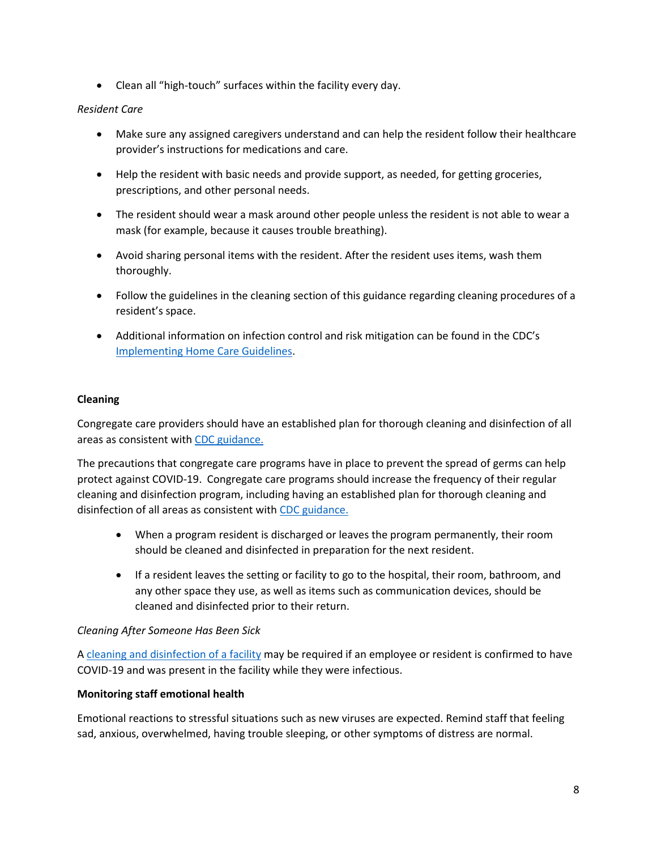• Clean all "high-touch" surfaces within the facility every day.

# *Resident Care*

- Make sure any assigned caregivers understand and can help the resident follow their healthcare provider's instructions for medications and care.
- Help the resident with basic needs and provide support, as needed, for getting groceries, prescriptions, and other personal needs.
- The resident should wear a mask around other people unless the resident is not able to wear a mask (for example, because it causes trouble breathing).
- Avoid sharing personal items with the resident. After the resident uses items, wash them thoroughly.
- Follow the guidelines in the cleaning section of this guidance regarding cleaning procedures of a resident's space.
- Additional information on infection control and risk mitigation can be found in the CDC's Implementing Home Care Guidelines.

# <span id="page-7-0"></span>**Cleaning**

Congregate care providers should have an established plan for thorough cleaning and disinfection of all areas as consistent with CDC guidance.

The precautions that congregate care programs have in place to prevent the spread of germs can help protect against COVID-19. Congregate care programs should increase the frequency of their regular cleaning and disinfection program, including having an established plan for thorough cleaning and disinfection of all areas as consistent with CDC guidance.

- When a program resident is discharged or leaves the program permanently, their room should be cleaned and disinfected in preparation for the next resident.
- If a resident leaves the setting or facility to go to the hospital, their room, bathroom, and any other space they use, as well as items such as communication devices, should be cleaned and disinfected prior to their return.

#### *Cleaning After Someone Has Been Sick*

A cleaning and disinfection of a facility may be required if an employee or resident is confirmed to have COVID-19 and was present in the facility while they were infectious.

# **Monitoring staff emotional health**

Emotional reactions to stressful situations such as new viruses are expected. Remind staff that feeling sad, anxious, overwhelmed, having trouble sleeping, or other symptoms of distress are normal.